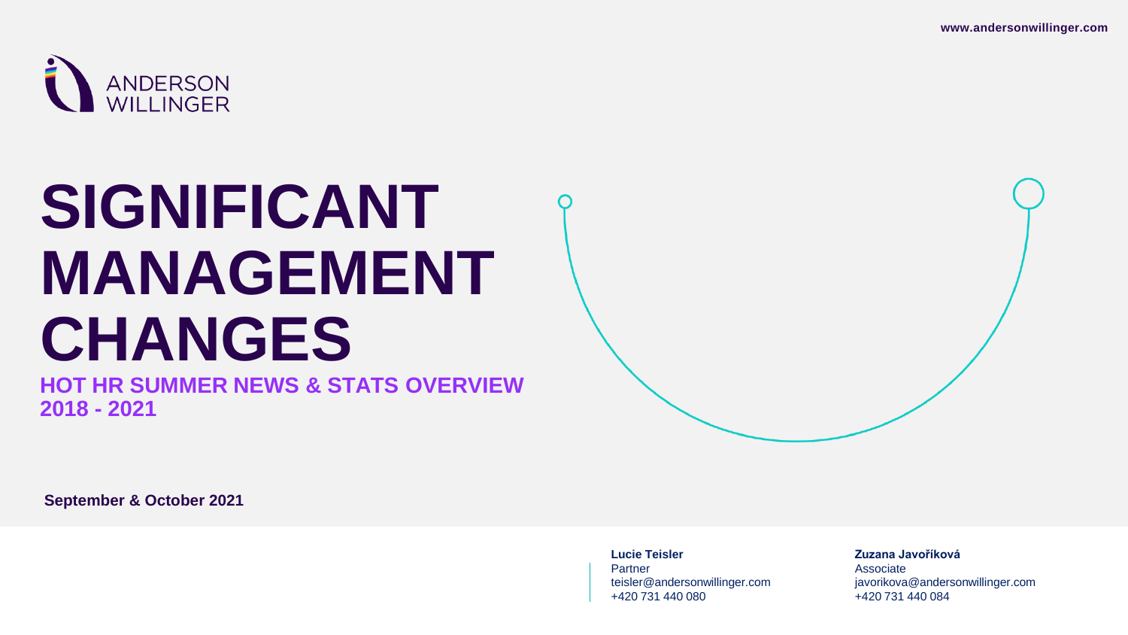

# **SIGNIFICANT MANAGEMENT CHANGES**

**HOT HR SUMMER NEWS & STATS OVERVIEW 2018 - 2021**

**Lucie Teisler**

Partner teisler@andersonwillinger.com +420 731 440 080

**Zuzana Javoříková**

Associate javorikova@andersonwillinger.com +420 731 440 084

**September & October 2021**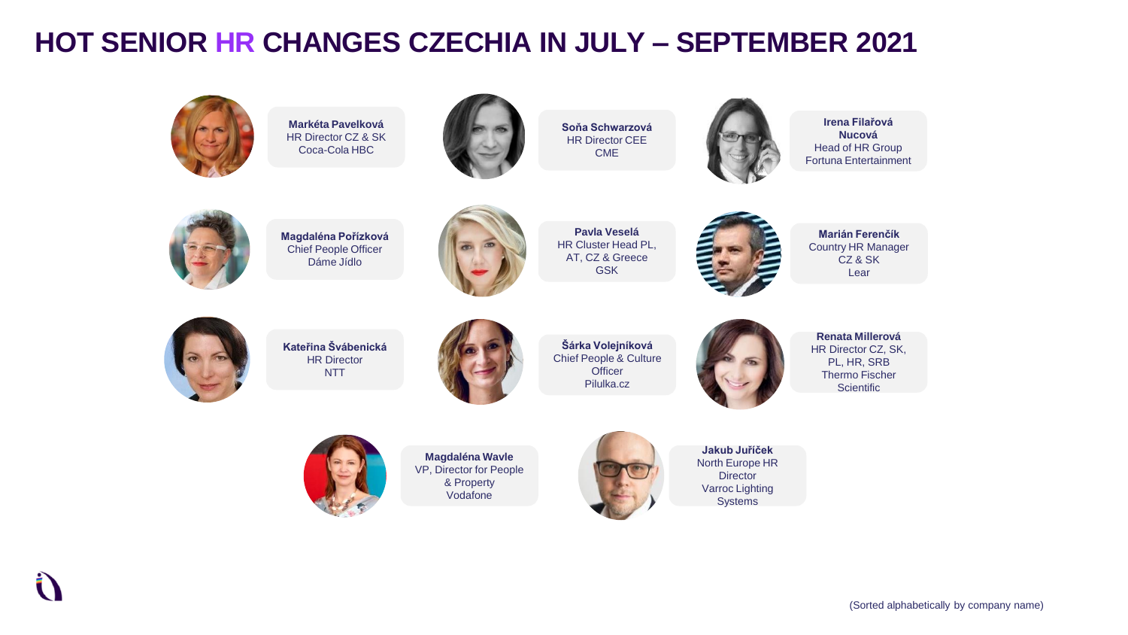### **HOT SENIOR HR CHANGES CZECHIA IN JULY – SEPTEMBER 2021**



**Markéta Pavelková** HR Director CZ & SK Coca-Cola HBC



**Soňa Schwarzová** HR Director CEE CME



**Irena Filařová Nucová** Head of HR Group Fortuna Entertainment



**Magdaléna Pořízková** Chief People Officer Dáme Jídlo



**Pavla Veselá** HR Cluster Head PL, AT, CZ & Greece GSK



**Marián Ferenčík** Country HR Manager CZ & SK Lear



**Kateřina Švábenická** HR Director NTT



**Šárka Volejníková** Chief People & Culture **Officer** Pilulka.cz



**Renata Millerová** HR Director CZ, SK, PL, HR, SRB Thermo Fischer **Scientific** 



**Magdaléna Wavle** VP, Director for People & Property Vodafone



**Jakub Juříček** North Europe HR **Director** Varroc Lighting **Systems**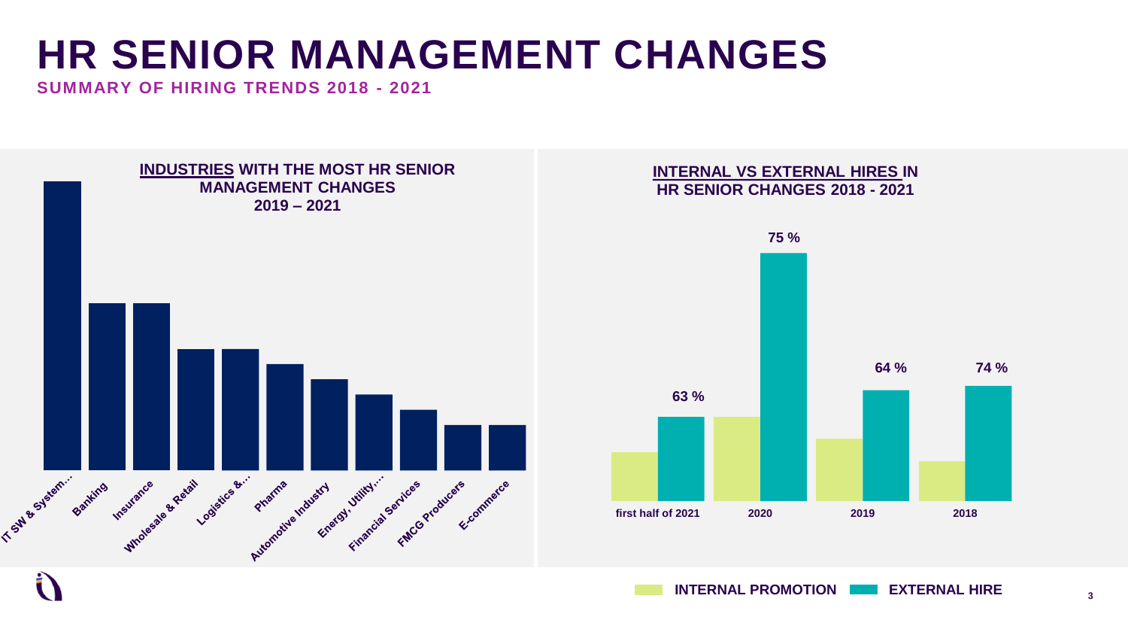### **HR SENIOR MANAGEMENT CHANGES**

**SUMMARY OF HIRING TRENDS 2018 - 2021**



**INTERNAL PROMOTION EXTERNAL HIRE**

**3**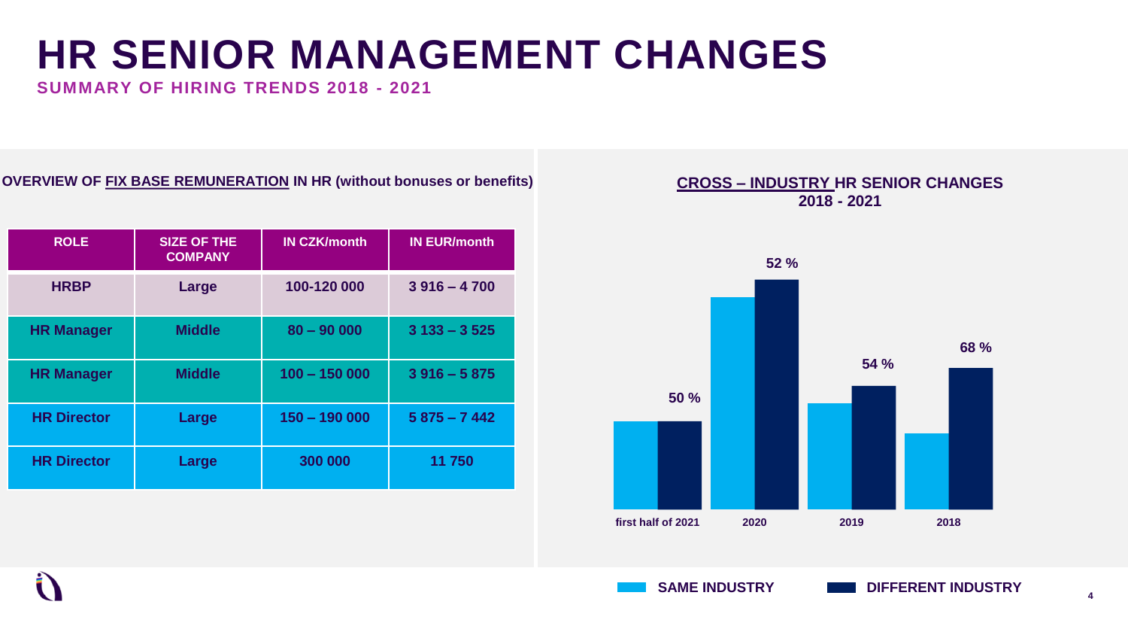### **HR SENIOR MANAGEMENT CHANGES**

**SUMMARY OF HIRING TRENDS 2018 - 2021**

#### **OVERVIEW OF FIX BASE REMUNERATION IN HR (without bonuses or benefits)**

| <b>ROLE</b>        | <b>SIZE OF THE</b><br><b>COMPANY</b> | <b>IN CZK/month</b> | <b>IN EUR/month</b> |
|--------------------|--------------------------------------|---------------------|---------------------|
| <b>HRBP</b>        | Large                                | 100-120 000         | $3916 - 4700$       |
| <b>HR Manager</b>  | <b>Middle</b>                        | $80 - 90000$        | $3133 - 3525$       |
| <b>HR Manager</b>  | <b>Middle</b>                        | $100 - 150000$      | $3916 - 5875$       |
| <b>HR Director</b> | Large                                | $150 - 190000$      | $5875 - 7442$       |
| <b>HR Director</b> | Large                                | 300 000             | 11 750              |

#### **CROSS – INDUSTRY HR SENIOR CHANGES 2018 - 2021**

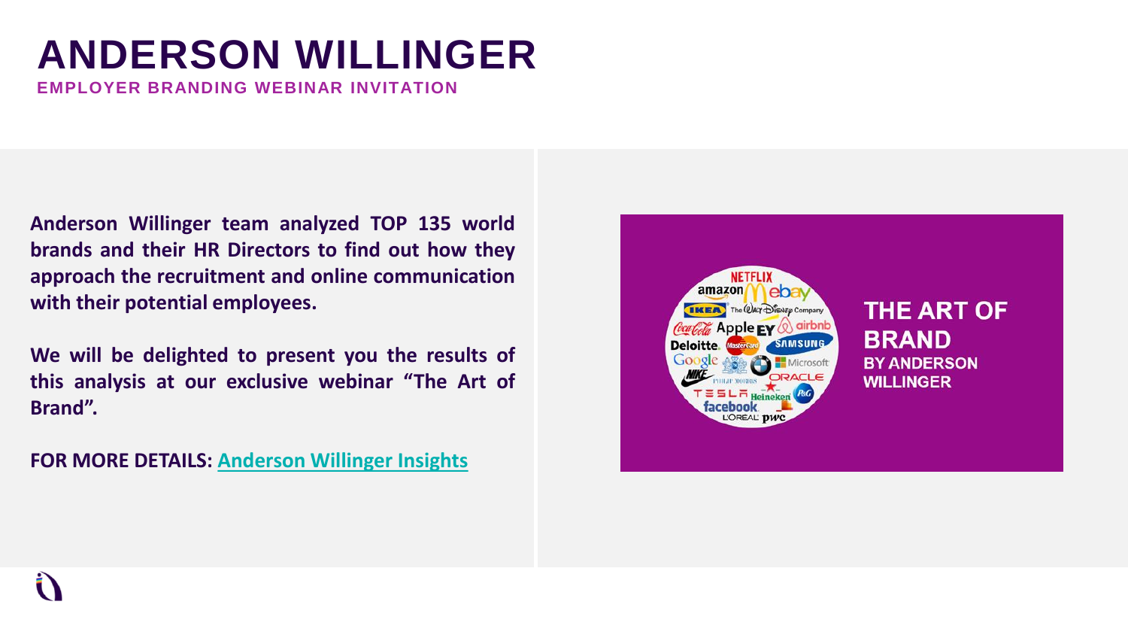## **ANDERSON WILLINGER**

**EMPLOYER BRANDING WEBINAR INVITATION**

**Anderson Willinger team analyzed TOP 135 world brands and their HR Directors to find out how they approach the recruitment and online communication with their potential employees.**

**We will be delighted to present you the results of this analysis at our exclusive webinar "The Art of Brand".**

**FOR MORE DETAILS: [Anderson](https://www.andersonwillinger.com/the-art-of-brand/) Willinger Insights**

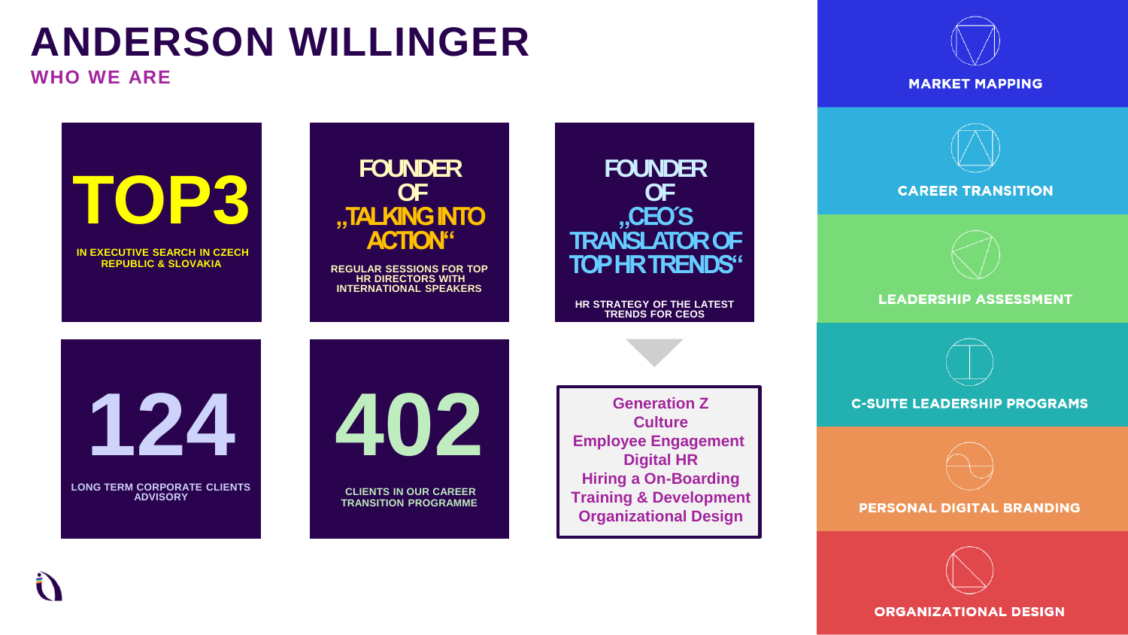# **ANDERSON WILLINGER**

**WHO WE ARE**







**LEADERSHIP ASSESSMENT** 

**C-SUITE LEADERSHIP PROGRAMS** 

**PERSONAL DIGITAL BRANDING** 

**ORGANIZATIONAL DESIGN** 



**OF "TALKING INTO ACTION"**

**FOUNDER**

**REGULAR SESSIONS FOR TOP HR DIRECTORS WITH INTERNATIONAL SPEAKERS**

**124**

**TOP3**

**IN EXECUTIVE SEARCH IN CZECH REPUBLIC & SLOVAKIA**

**LONG TERM CORPORATE CLIENTS ADVISORY**



**CLIENTS IN OUR CAREER TRANSITION PROGRAMME**

**Generation Z Culture Employee Engagement Digital HR Hiring a On-Boarding Training & Development Organizational Design**

**FOUNDER OF**